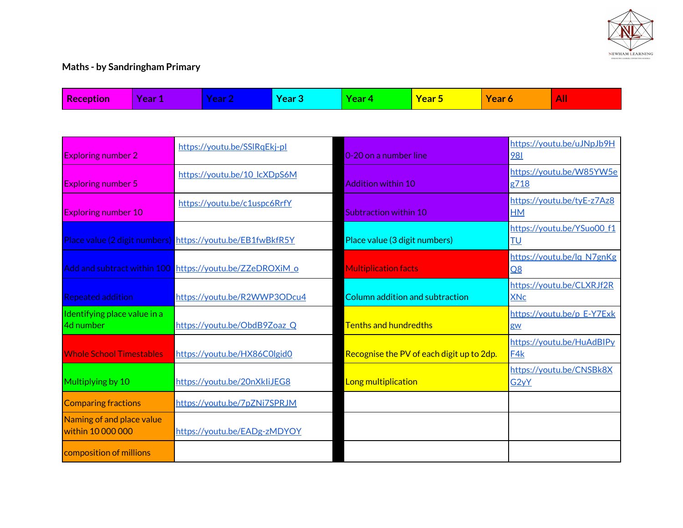

## **Maths - by Sandringham Primary**

| <b>Reception</b>                               | Year 1 | Year 2                                                     | <b>Year 3</b> | Year 4                        | Year 5                                    | Year 6            | All                        |
|------------------------------------------------|--------|------------------------------------------------------------|---------------|-------------------------------|-------------------------------------------|-------------------|----------------------------|
|                                                |        |                                                            |               |                               |                                           |                   |                            |
| <b>Exploring number 2</b>                      |        | https://youtu.be/SSlRqEkj-pl                               |               | 0-20 on a number line         |                                           | 981               | https://youtu.be/uJNpJb9H  |
| <b>Exploring number 5</b>                      |        | https://youtu.be/10 lcXDpS6M                               |               | <b>Addition within 10</b>     |                                           | g718              | https://youtu.be/W85YW5e   |
| <b>Exploring number 10</b>                     |        | https://youtu.be/c1uspc6RrfY                               |               | Subtraction within 10         |                                           | <b>HM</b>         | https://youtu.be/tyE-z7Az8 |
|                                                |        | Place value (2 digit numbers) https://youtu.be/EB1fwBkfR5Y |               | Place value (3 digit numbers) |                                           | TU                | https://youtu.be/YSuo00 f1 |
|                                                |        | Add and subtract within 100 https://youtu.be/ZZeDROXiM o   |               | <b>Multiplication facts</b>   |                                           | Q8                | https://youtu.be/lq N7gnKg |
| <b>Repeated addition</b>                       |        | https://youtu.be/R2WWP3ODcu4                               |               |                               | Column addition and subtraction           | <b>XNc</b>        | https://youtu.be/CLXRJf2R  |
| Identifying place value in a<br>4d number      |        | https://youtu.be/ObdB9Zoaz Q                               |               | <b>Tenths and hundredths</b>  |                                           | gw                | https://youtu.be/p E-Y7Exk |
| <b>Whole School Timestables</b>                |        | https://youtu.be/HX86C0lgid0                               |               |                               | Recognise the PV of each digit up to 2dp. | F4k               | https://youtu.be/HuAdBIPy  |
| Multiplying by 10                              |        | https://youtu.be/20nXkliJEG8                               |               | Long multiplication           |                                           | G <sub>2y</sub> Y | https://youtu.be/CNSBk8X   |
| <b>Comparing fractions</b>                     |        | https://youtu.be/7pZNi7SPRJM                               |               |                               |                                           |                   |                            |
| Naming of and place value<br>within 10 000 000 |        | https://youtu.be/EADg-zMDYOY                               |               |                               |                                           |                   |                            |
| composition of millions                        |        |                                                            |               |                               |                                           |                   |                            |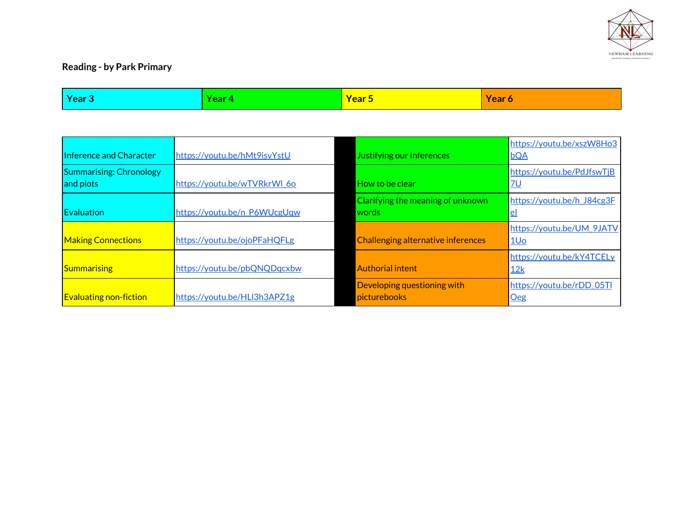

## **Reading - by Park Primary**

| <b>Year 3</b>                               | Year 4                       | Year 5                                      | Year 6                                       |
|---------------------------------------------|------------------------------|---------------------------------------------|----------------------------------------------|
|                                             |                              |                                             |                                              |
| Inference and Character                     | https://youtu.be/hMt9isvYstU | Justifying our Inferences                   | https://youtu.be/xszW8Ho3<br><b>bQA</b>      |
| <b>Summarising: Chronology</b><br>and plots | https://youtu.be/wTVRkrWl_6o | How to be clear                             | https://youtu.be/PdJfswTjB<br><u>7U</u>      |
| Evaluation                                  | https://youtu.be/n P6WUcgUqw | Clarifying the meaning of unknown<br>words  | https://youtu.be/h J84cg3F<br>$el$           |
| <b>Making Connections</b>                   | https://youtu.be/ojoPFaHQFLg | Challenging alternative inferences          | https://youtu.be/UM_9JATV<br>1U <sub>o</sub> |
| Summarising                                 | https://youtu.be/pbQNQDqcxbw | Authorial intent                            | https://youtu.be/kY4TCELy<br>12k             |
| <b>Evaluating non-fiction</b>               | https://youtu.be/HLl3h3APZ1g | Developing questioning with<br>picturebooks | https://youtu.be/rDD_05Tl<br>Oeg             |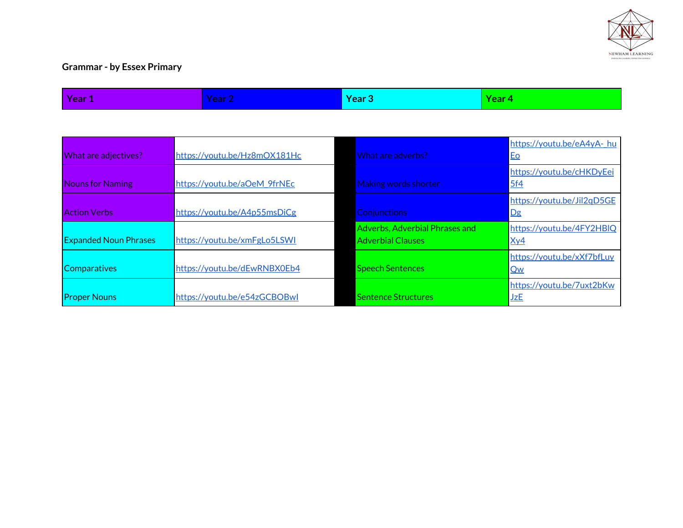

## **Grammar - by Essex Primary**

| Year 1                       | <b>Year 2</b>                | Year 3                                                            | Year 4                           |
|------------------------------|------------------------------|-------------------------------------------------------------------|----------------------------------|
|                              |                              |                                                                   |                                  |
| What are adjectives?         | https://youtu.be/Hz8mOX181Hc | What are adverbs?                                                 | https://youtu.be/eA4yA-hu<br>Eo  |
| <b>Nouns for Naming</b>      | https://youtu.be/aOeM_9frNEc | <b>Making words shorter</b>                                       | https://youtu.be/cHKDyEei<br>5f4 |
| <b>Action Verbs</b>          | https://youtu.be/A4p55msDiCg | <b>Conjunctions</b>                                               | https://youtu.be/Jil2qD5GE<br>Dg |
| <b>Expanded Noun Phrases</b> | https://youtu.be/xmFgLo5LSWI | <b>Adverbs, Adverbial Phrases and</b><br><b>Adverbial Clauses</b> | https://youtu.be/4FY2HBIQ<br>Xy4 |
| <b>Comparatives</b>          | https://youtu.be/dEwRNBX0Eb4 | <b>Speech Sentences</b>                                           | https://youtu.be/xXf7bfLuy<br>Qw |
| <b>Proper Nouns</b>          | https://youtu.be/e54zGCBOBwl | <b>Sentence Structures</b>                                        | https://youtu.be/7uxt2bKw<br>JzE |